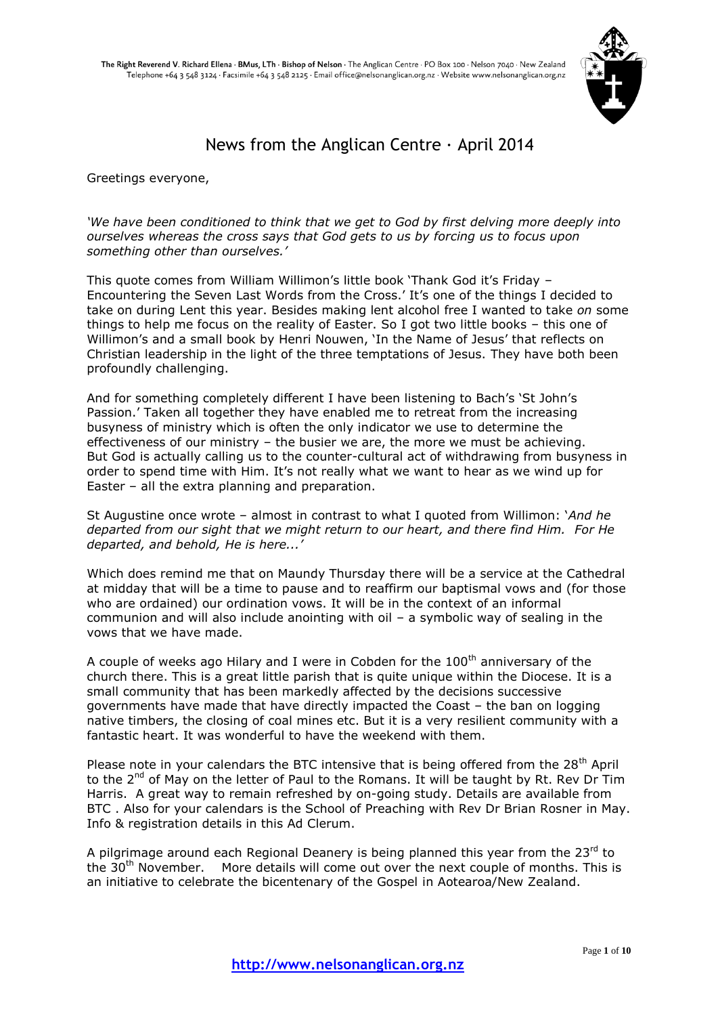

# News from the Anglican Centre  $\cdot$  April 2014

Greetings everyone,

#### *'We have been conditioned to think that we get to God by first delving more deeply into ourselves whereas the cross says that God gets to us by forcing us to focus upon something other than ourselves.'*

This quote comes from William Willimon's little book 'Thank God it's Friday – Encountering the Seven Last Words from the Cross.' It's one of the things I decided to take on during Lent this year. Besides making lent alcohol free I wanted to take *on* some things to help me focus on the reality of Easter. So I got two little books – this one of Willimon's and a small book by Henri Nouwen, 'In the Name of Jesus' that reflects on Christian leadership in the light of the three temptations of Jesus. They have both been profoundly challenging.

And for something completely different I have been listening to Bach's 'St John's Passion.' Taken all together they have enabled me to retreat from the increasing busyness of ministry which is often the only indicator we use to determine the effectiveness of our ministry – the busier we are, the more we must be achieving. But God is actually calling us to the counter-cultural act of withdrawing from busyness in order to spend time with Him. It's not really what we want to hear as we wind up for Easter – all the extra planning and preparation.

St Augustine once wrote – almost in contrast to what I quoted from Willimon: '*And he departed from our sight that we might return to our heart, and there find Him. For He departed, and behold, He is here...'*

Which does remind me that on Maundy Thursday there will be a service at the Cathedral at midday that will be a time to pause and to reaffirm our baptismal vows and (for those who are ordained) our ordination vows. It will be in the context of an informal communion and will also include anointing with oil – a symbolic way of sealing in the vows that we have made.

A couple of weeks ago Hilary and I were in Cobden for the  $100<sup>th</sup>$  anniversary of the church there. This is a great little parish that is quite unique within the Diocese. It is a small community that has been markedly affected by the decisions successive governments have made that have directly impacted the Coast – the ban on logging native timbers, the closing of coal mines etc. But it is a very resilient community with a fantastic heart. It was wonderful to have the weekend with them.

Please note in your calendars the BTC intensive that is being offered from the 28<sup>th</sup> April to the 2<sup>nd</sup> of May on the letter of Paul to the Romans. It will be taught by Rt. Rev Dr Tim Harris. A great way to remain refreshed by on-going study. Details are available from BTC . Also for your calendars is the School of Preaching with Rev Dr Brian Rosner in May. Info & registration details in this Ad Clerum.

A pilgrimage around each Regional Deanery is being planned this year from the  $23^{\text{rd}}$  to the 30<sup>th</sup> November. More details will come out over the next couple of months. This is an initiative to celebrate the bicentenary of the Gospel in Aotearoa/New Zealand.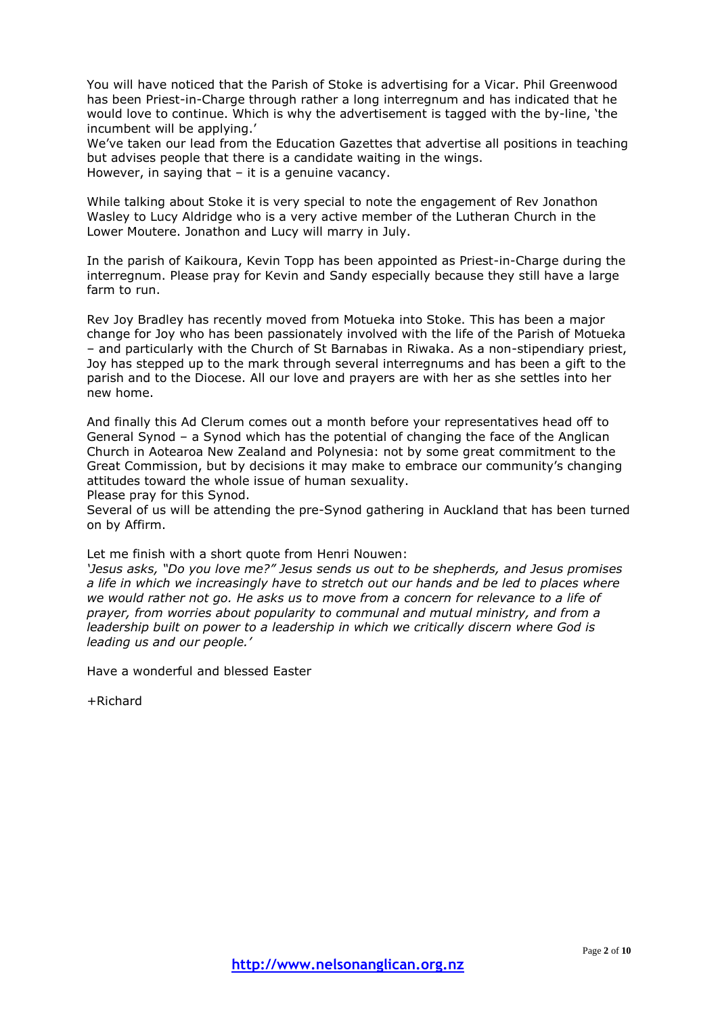You will have noticed that the Parish of Stoke is advertising for a Vicar. Phil Greenwood has been Priest-in-Charge through rather a long interregnum and has indicated that he would love to continue. Which is why the advertisement is tagged with the by-line, 'the incumbent will be applying.'

We've taken our lead from the Education Gazettes that advertise all positions in teaching but advises people that there is a candidate waiting in the wings. However, in saying that – it is a genuine vacancy.

While talking about Stoke it is very special to note the engagement of Rev Jonathon Wasley to Lucy Aldridge who is a very active member of the Lutheran Church in the Lower Moutere. Jonathon and Lucy will marry in July.

In the parish of Kaikoura, Kevin Topp has been appointed as Priest-in-Charge during the interregnum. Please pray for Kevin and Sandy especially because they still have a large farm to run.

Rev Joy Bradley has recently moved from Motueka into Stoke. This has been a major change for Joy who has been passionately involved with the life of the Parish of Motueka – and particularly with the Church of St Barnabas in Riwaka. As a non-stipendiary priest, Joy has stepped up to the mark through several interregnums and has been a gift to the parish and to the Diocese. All our love and prayers are with her as she settles into her new home.

And finally this Ad Clerum comes out a month before your representatives head off to General Synod – a Synod which has the potential of changing the face of the Anglican Church in Aotearoa New Zealand and Polynesia: not by some great commitment to the Great Commission, but by decisions it may make to embrace our community's changing attitudes toward the whole issue of human sexuality.

Please pray for this Synod.

Several of us will be attending the pre-Synod gathering in Auckland that has been turned on by Affirm.

Let me finish with a short quote from Henri Nouwen:

*'Jesus asks, "Do you love me?" Jesus sends us out to be shepherds, and Jesus promises a life in which we increasingly have to stretch out our hands and be led to places where we would rather not go. He asks us to move from a concern for relevance to a life of prayer, from worries about popularity to communal and mutual ministry, and from a leadership built on power to a leadership in which we critically discern where God is leading us and our people.'*

Have a wonderful and blessed Easter

+Richard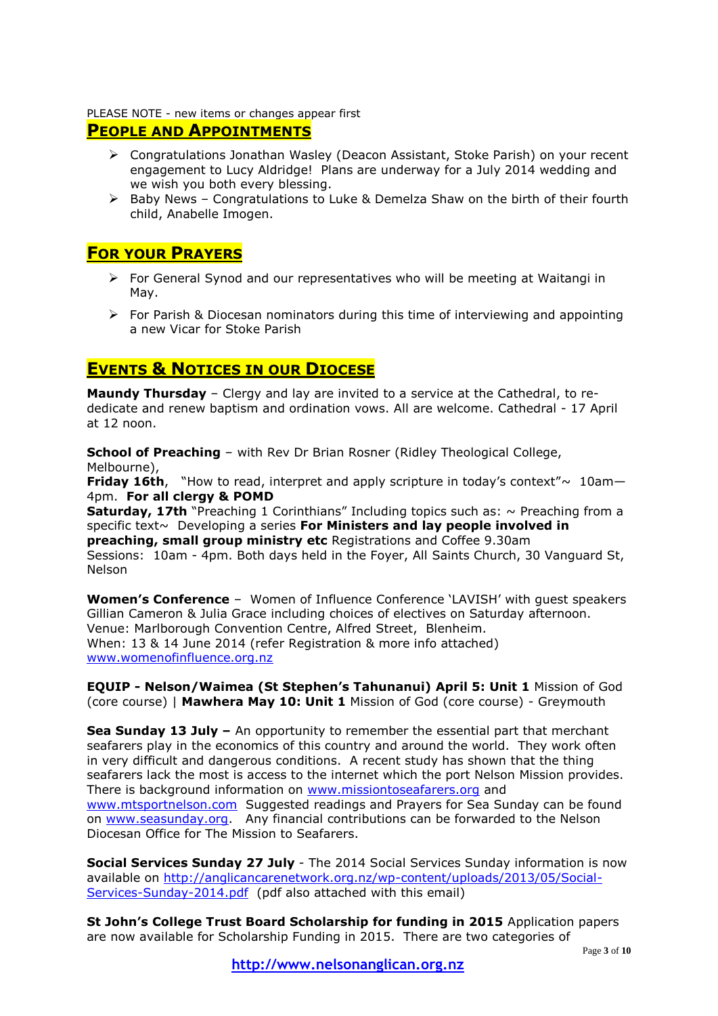#### PLEASE NOTE - new items or changes appear first

## **PEOPLE AND APPOINTMENTS**

- Congratulations Jonathan Wasley (Deacon Assistant, Stoke Parish) on your recent engagement to Lucy Aldridge! Plans are underway for a July 2014 wedding and we wish you both every blessing.
- $\triangleright$  Baby News Congratulations to Luke & Demelza Shaw on the birth of their fourth child, Anabelle Imogen.

### **FOR YOUR PRAYERS**

- $\triangleright$  For General Synod and our representatives who will be meeting at Waitangi in May.
- $\triangleright$  For Parish & Diocesan nominators during this time of interviewing and appointing a new Vicar for Stoke Parish

## **EVENTS & NOTICES IN OUR DIOCESE**

**Maundy Thursday** – Clergy and lay are invited to a service at the Cathedral, to rededicate and renew baptism and ordination vows. All are welcome. Cathedral - 17 April at 12 noon.

**School of Preaching** – with Rev Dr Brian Rosner (Ridley Theological College, Melbourne),

**Friday 16th**, "How to read, interpret and apply scripture in today's context" $\sim 10$ am-4pm. **For all clergy & POMD**

**Saturday, 17th** "Preaching 1 Corinthians" Including topics such as: ~ Preaching from a specific text~ Developing a series **For Ministers and lay people involved in preaching, small group ministry etc** Registrations and Coffee 9.30am Sessions: 10am - 4pm. Both days held in the Foyer, All Saints Church, 30 Vanguard St, Nelson

**Women's Conference** – Women of Influence Conference 'LAVISH' with guest speakers Gillian Cameron & Julia Grace including choices of electives on Saturday afternoon. Venue: Marlborough Convention Centre, Alfred Street, Blenheim. When: 13 & 14 June 2014 (refer Registration & more info attached) [www.womenofinfluence.org.nz](http://www.womenofinfluence.org.nz/)

**EQUIP - Nelson/Waimea (St Stephen's Tahunanui) April 5: Unit 1** Mission of God (core course) | **Mawhera May 10: Unit 1** Mission of God (core course) - Greymouth

**Sea Sunday 13 July –** An opportunity to remember the essential part that merchant seafarers play in the economics of this country and around the world. They work often in very difficult and dangerous conditions. A recent study has shown that the thing seafarers lack the most is access to the internet which the port Nelson Mission provides. There is background information on [www.missiontoseafarers.org](http://www.missiontoseafarers.org/) and [www.mtsportnelson.com](http://www.mtsportnelson.com/) Suggested readings and Prayers for Sea Sunday can be found on [www.seasunday.org.](http://www.seasunday.org/) Any financial contributions can be forwarded to the Nelson Diocesan Office for The Mission to Seafarers.

**Social Services Sunday 27 July** - The 2014 Social Services Sunday information is now available on [http://anglicancarenetwork.org.nz/wp-content/uploads/2013/05/Social-](http://anglicancarenetwork.org.nz/wp-content/uploads/2013/05/Social-Services-Sunday-2014.pdf)[Services-Sunday-2014.pdf](http://anglicancarenetwork.org.nz/wp-content/uploads/2013/05/Social-Services-Sunday-2014.pdf) (pdf also attached with this email)

**St John's College Trust Board Scholarship for funding in 2015** Application papers are now available for Scholarship Funding in 2015. There are two categories of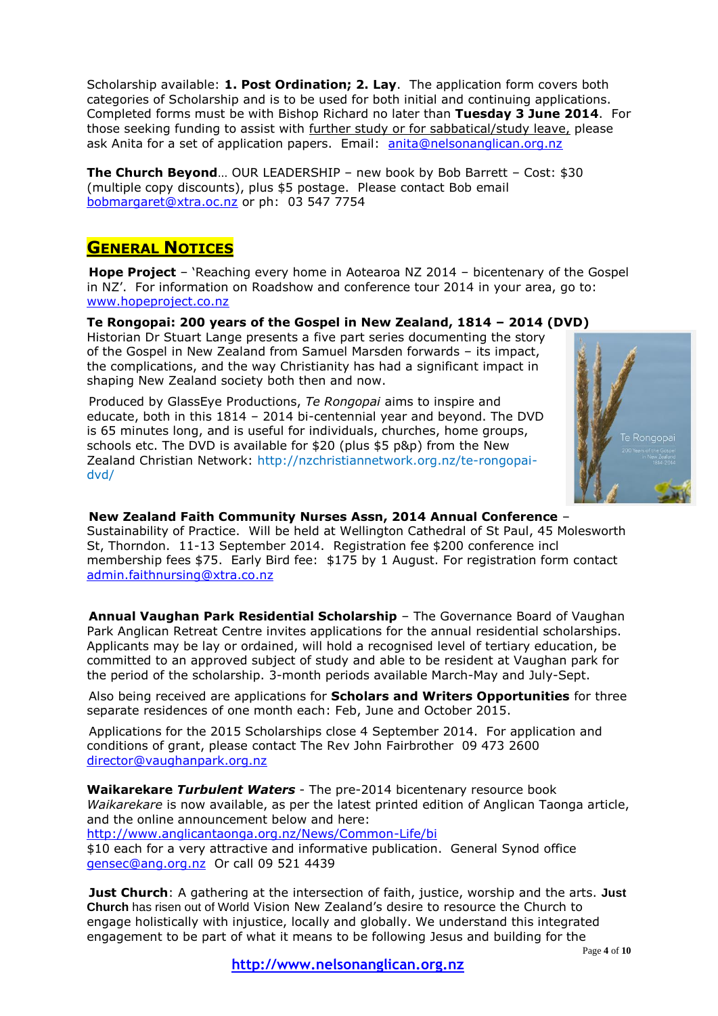Scholarship available: **1. Post Ordination; 2. Lay**. The application form covers both categories of Scholarship and is to be used for both initial and continuing applications. Completed forms must be with Bishop Richard no later than **Tuesday 3 June 2014**. For those seeking funding to assist with further study or for sabbatical/study leave, please ask Anita for a set of application papers. Email: [anita@nelsonanglican.org.nz](mailto:anita@nelsonanglican.org.nz)

**The Church Beyond**... OUR LEADERSHIP – new book by Bob Barrett – Cost: \$30 (multiple copy discounts), plus \$5 postage. Please contact Bob email [bobmargaret@xtra.oc.nz](mailto:bobmargaret@xtra.oc.nz) or ph: 03 547 7754

# **GENERAL NOTICES**

**Hope Project** – 'Reaching every home in Aotearoa NZ 2014 – bicentenary of the Gospel in NZ'. For information on Roadshow and conference tour 2014 in your area, go to: [www.hopeproject.co.nz](http://www.hopeproject.co.nz/)

**Te Rongopai: 200 years of the Gospel in New Zealand, 1814 – 2014 (DVD)**  Historian Dr Stuart Lange presents a five part series documenting the story

of the Gospel in New Zealand from Samuel Marsden forwards – its impact, the complications, and the way Christianity has had a significant impact in shaping New Zealand society both then and now.

Produced by GlassEye Productions, *Te Rongopai* aims to inspire and educate, both in this 1814 – 2014 bi-centennial year and beyond. The DVD is 65 minutes long, and is useful for individuals, churches, home groups, schools etc. The DVD is available for \$20 (plus \$5 p&p) from the New Zealand Christian Network: http:/[/nzchristiannetwork.org.nz/te-rongopai](http://nzchristiannetwork.org.nz/te-rongopai-dvd/)[dvd/](http://nzchristiannetwork.org.nz/te-rongopai-dvd/)



**New Zealand Faith Community Nurses Assn, 2014 Annual Conference** – Sustainability of Practice. Will be held at Wellington Cathedral of St Paul, 45 Molesworth St, Thorndon. 11-13 September 2014. Registration fee \$200 conference incl membership fees \$75. Early Bird fee: \$175 by 1 August. For registration form contact [admin.faithnursing@xtra.co.nz](mailto:admin.faithnursing@xtra.co.nz) 

**Annual Vaughan Park Residential Scholarship** – The Governance Board of Vaughan Park Anglican Retreat Centre invites applications for the annual residential scholarships. Applicants may be lay or ordained, will hold a recognised level of tertiary education, be committed to an approved subject of study and able to be resident at Vaughan park for the period of the scholarship. 3-month periods available March-May and July-Sept.

Also being received are applications for **Scholars and Writers Opportunities** for three separate residences of one month each: Feb, June and October 2015.

Applications for the 2015 Scholarships close 4 September 2014. For application and conditions of grant, please contact The Rev John Fairbrother 09 473 2600 [director@vaughanpark.org.nz](mailto:director@vaughanpark.org.nz)

**Waikarekare** *Turbulent Waters* - The pre-2014 bicentenary resource book *Waikarekare* is now available, as per the latest printed edition of Anglican Taonga article, and the online announcement below and here:

<http://www.anglicantaonga.org.nz/News/Common-Life/bi>

\$10 each for a very attractive and informative publication. General Synod office [gensec@ang.org.nz](mailto:gensec@ang.org.nz) Or call 09 521 4439

**Just Church**: A gathering at the intersection of faith, justice, worship and the arts. **Just Church** has risen out of World Vision New Zealand's desire to resource the Church to engage holistically with injustice, locally and globally. We understand this integrated engagement to be part of what it means to be following Jesus and building for the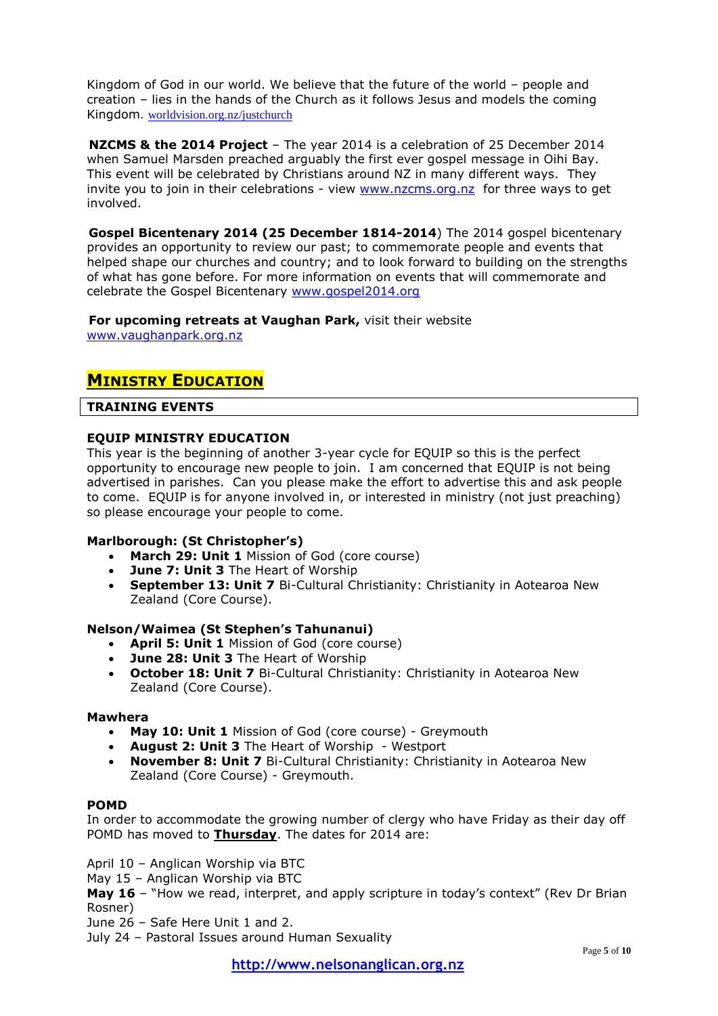Kingdom of God in our world. We believe that the future of the world – people and creation – lies in the hands of the Church as it follows Jesus and models the coming Kingdom. [worldvision.org.nz/justchurch](http://www.worldvision.org.nz/justchurch)

**NZCMS & the 2014 Project** – The year 2014 is a celebration of 25 December 2014 when Samuel Marsden preached arguably the first ever gospel message in Oihi Bay. This event will be celebrated by Christians around NZ in many different ways. They invite you to join in their celebrations - view [www.nzcms.org.nz](http://www.nzcms.org.nz/) for three ways to get involved.

**Gospel Bicentenary 2014 (25 December 1814-2014**) The 2014 gospel bicentenary provides an opportunity to review our past; to commemorate people and events that helped shape our churches and country; and to look forward to building on the strengths of what has gone before. For more information on events that will commemorate and celebrate the Gospel Bicentenary [www.gospel2014.org](http://www.gospel2014.org/)

**For upcoming retreats at Vaughan Park,** visit their website [www.vaughanpark.org.nz](http://www.vaughanpark.org.nz/)

## **MINISTRY EDUCATION**

#### **TRAINING EVENTS**

#### **EQUIP MINISTRY EDUCATION**

This year is the beginning of another 3-year cycle for EQUIP so this is the perfect opportunity to encourage new people to join. I am concerned that EQUIP is not being advertised in parishes. Can you please make the effort to advertise this and ask people to come. EQUIP is for anyone involved in, or interested in ministry (not just preaching) so please encourage your people to come.

#### **Marlborough: (St Christopher's)**

- **March 29: Unit 1** Mission of God (core course)
- **June 7: Unit 3** The Heart of Worship
- **September 13: Unit 7** Bi-Cultural Christianity: Christianity in Aotearoa New Zealand (Core Course).

### **Nelson/Waimea (St Stephen's Tahunanui)**

- **April 5: Unit 1** Mission of God (core course)
- **June 28: Unit 3** The Heart of Worship
- **October 18: Unit 7** Bi-Cultural Christianity: Christianity in Aotearoa New Zealand (Core Course).

#### **Mawhera**

- **May 10: Unit 1** Mission of God (core course) Greymouth
- **August 2: Unit 3** The Heart of Worship Westport
- **November 8: Unit 7** Bi-Cultural Christianity: Christianity in Aotearoa New Zealand (Core Course) - Greymouth.

#### **POMD**

In order to accommodate the growing number of clergy who have Friday as their day off POMD has moved to **Thursday**. The dates for 2014 are:

April 10 – Anglican Worship via BTC

May 15 – Anglican Worship via BTC

**May 16** – "How we read, interpret, and apply scripture in today's context" (Rev Dr Brian Rosner)

June 26 – Safe Here Unit 1 and 2.

July 24 – Pastoral Issues around Human Sexuality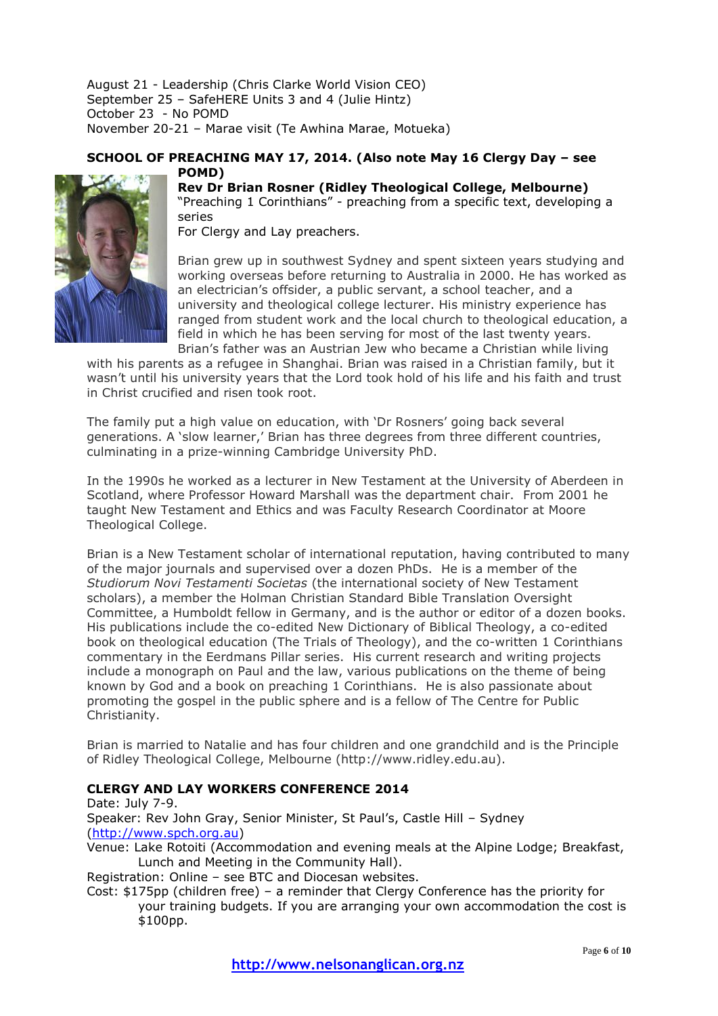August 21 - Leadership (Chris Clarke World Vision CEO) September 25 – SafeHERE Units 3 and 4 (Julie Hintz) October 23 - No POMD November 20-21 – Marae visit (Te Awhina Marae, Motueka)

#### **SCHOOL OF PREACHING MAY 17, 2014. (Also note May 16 Clergy Day – see POMD)**



### **Rev Dr Brian Rosner (Ridley Theological College, Melbourne)** "Preaching 1 Corinthians" - preaching from a specific text, developing a series

For Clergy and Lay preachers.

Brian grew up in southwest Sydney and spent sixteen years studying and working overseas before returning to Australia in 2000. He has worked as an electrician's offsider, a public servant, a school teacher, and a university and theological college lecturer. His ministry experience has ranged from student work and the local church to theological education, a field in which he has been serving for most of the last twenty years. Brian's father was an Austrian Jew who became a Christian while living

with his parents as a refugee in Shanghai. Brian was raised in a Christian family, but it wasn't until his university years that the Lord took hold of his life and his faith and trust in Christ crucified and risen took root.

The family put a high value on education, with 'Dr Rosners' going back several generations. A 'slow learner,' Brian has three degrees from three different countries, culminating in a prize-winning Cambridge University PhD.

In the 1990s he worked as a lecturer in New Testament at the University of Aberdeen in Scotland, where Professor Howard Marshall was the department chair. From 2001 he taught New Testament and Ethics and was Faculty Research Coordinator at Moore Theological College.

Brian is a New Testament scholar of international reputation, having contributed to many of the major journals and supervised over a dozen PhDs. He is a member of the *Studiorum Novi Testamenti Societas* (the international society of New Testament scholars), a member the Holman Christian Standard Bible Translation Oversight Committee, a Humboldt fellow in Germany, and is the author or editor of a dozen books. His publications include the co-edited New Dictionary of Biblical Theology, a co-edited book on theological education (The Trials of Theology), and the co-written 1 Corinthians commentary in the Eerdmans Pillar series. His current research and writing projects include a monograph on Paul and the law, various publications on the theme of being known by God and a book on preaching 1 Corinthians. He is also passionate about promoting the gospel in the public sphere and is a fellow of The Centre for Public Christianity.

Brian is married to Natalie and has four children and one grandchild and is the Principle of Ridley Theological College, Melbourne (http://www.ridley.edu.au).

### **CLERGY AND LAY WORKERS CONFERENCE 2014**

Date: July 7-9. Speaker: Rev John Gray, Senior Minister, St Paul's, Castle Hill – Sydney [\(http://www.spch.org.au\)](http://www.spch.org.au/) Venue: Lake Rotoiti (Accommodation and evening meals at the Alpine Lodge; Breakfast, Lunch and Meeting in the Community Hall). Registration: Online – see BTC and Diocesan websites.

Cost: \$175pp (children free) – a reminder that Clergy Conference has the priority for your training budgets. If you are arranging your own accommodation the cost is \$100pp.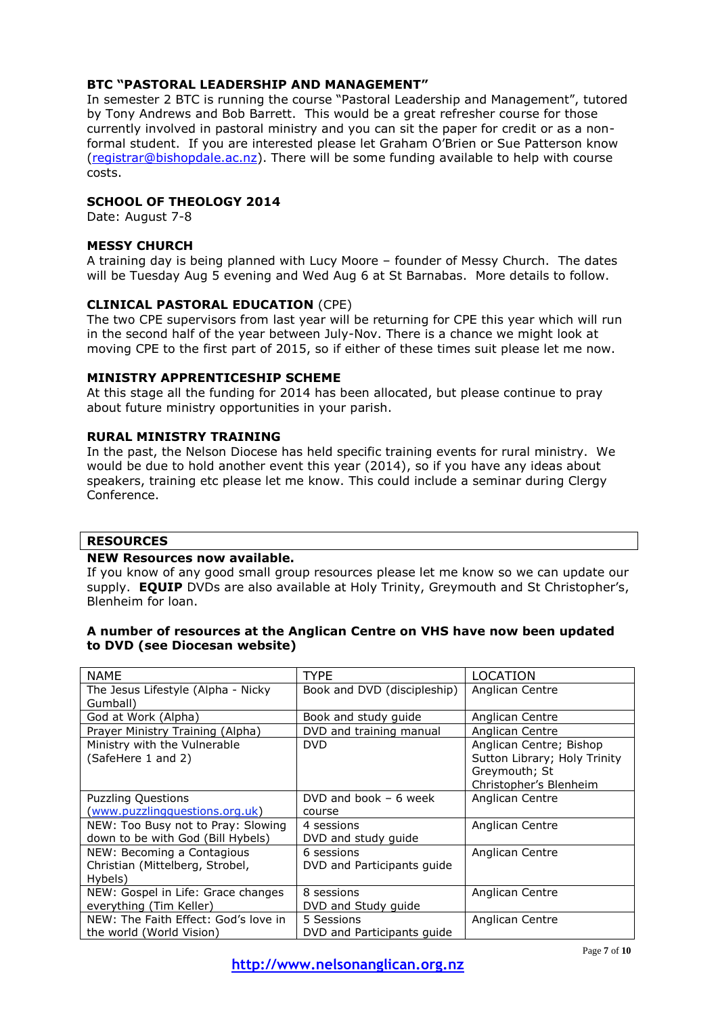#### **BTC "PASTORAL LEADERSHIP AND MANAGEMENT"**

In semester 2 BTC is running the course "Pastoral Leadership and Management", tutored by Tony Andrews and Bob Barrett. This would be a great refresher course for those currently involved in pastoral ministry and you can sit the paper for credit or as a nonformal student. If you are interested please let Graham O'Brien or Sue Patterson know [\(registrar@bishopdale.ac.nz\)](mailto:registrar@bishopdale.ac.nz). There will be some funding available to help with course costs.

#### **SCHOOL OF THEOLOGY 2014**

Date: August 7-8

#### **MESSY CHURCH**

A training day is being planned with Lucy Moore – founder of Messy Church. The dates will be Tuesday Aug 5 evening and Wed Aug 6 at St Barnabas. More details to follow.

#### **CLINICAL PASTORAL EDUCATION** (CPE)

The two CPE supervisors from last year will be returning for CPE this year which will run in the second half of the year between July-Nov. There is a chance we might look at moving CPE to the first part of 2015, so if either of these times suit please let me now.

#### **MINISTRY APPRENTICESHIP SCHEME**

At this stage all the funding for 2014 has been allocated, but please continue to pray about future ministry opportunities in your parish.

#### **RURAL MINISTRY TRAINING**

In the past, the Nelson Diocese has held specific training events for rural ministry. We would be due to hold another event this year (2014), so if you have any ideas about speakers, training etc please let me know. This could include a seminar during Clergy Conference.

#### **RESOURCES**

#### **NEW Resources now available.**

If you know of any good small group resources please let me know so we can update our supply. **EQUIP** DVDs are also available at Holy Trinity, Greymouth and St Christopher's, Blenheim for loan.

#### **A number of resources at the Anglican Centre on VHS have now been updated to DVD (see Diocesan website)**

| <b>NAME</b>                          | TYPE                        | LOCATION                     |
|--------------------------------------|-----------------------------|------------------------------|
| The Jesus Lifestyle (Alpha - Nicky   | Book and DVD (discipleship) | Anglican Centre              |
| Gumball)                             |                             |                              |
| God at Work (Alpha)                  | Book and study guide        | Anglican Centre              |
| Prayer Ministry Training (Alpha)     | DVD and training manual     | Anglican Centre              |
| Ministry with the Vulnerable         | <b>DVD</b>                  | Anglican Centre; Bishop      |
| (SafeHere 1 and 2)                   |                             | Sutton Library; Holy Trinity |
|                                      |                             | Greymouth; St                |
|                                      |                             | Christopher's Blenheim       |
| <b>Puzzling Questions</b>            | DVD and book $-6$ week      | Anglican Centre              |
| (www.puzzlingquestions.org.uk)       | course                      |                              |
| NEW: Too Busy not to Pray: Slowing   | 4 sessions                  | Anglican Centre              |
| down to be with God (Bill Hybels)    | DVD and study guide         |                              |
| NEW: Becoming a Contagious           | 6 sessions                  | Anglican Centre              |
| Christian (Mittelberg, Strobel,      | DVD and Participants quide  |                              |
| Hybels)                              |                             |                              |
| NEW: Gospel in Life: Grace changes   | 8 sessions                  | Anglican Centre              |
| everything (Tim Keller)              | DVD and Study guide         |                              |
| NEW: The Faith Effect: God's love in | 5 Sessions                  | Anglican Centre              |
| the world (World Vision)             | DVD and Participants quide  |                              |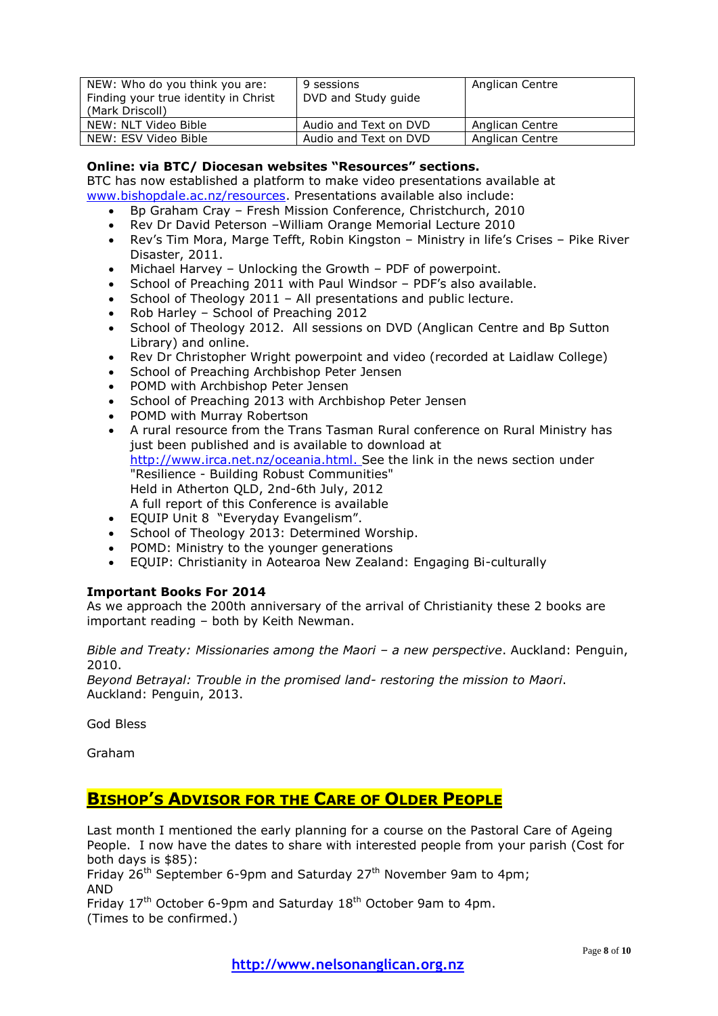| NEW: Who do you think you are:<br>Finding your true identity in Christ<br>(Mark Driscoll) | 9 sessions<br>DVD and Study guide | Anglican Centre |
|-------------------------------------------------------------------------------------------|-----------------------------------|-----------------|
| NEW: NLT Video Bible                                                                      | Audio and Text on DVD             | Anglican Centre |
| NEW: ESV Video Bible                                                                      | Audio and Text on DVD             | Anglican Centre |

#### **Online: via BTC/ Diocesan websites "Resources" sections.**

BTC has now established a platform to make video presentations available at [www.bishopdale.ac.nz/resources.](http://www.bishopdale.ac.nz/resources) Presentations available also include:

- Bp Graham Cray Fresh Mission Conference, Christchurch, 2010
- Rev Dr David Peterson –William Orange Memorial Lecture 2010
- Rev's Tim Mora, Marge Tefft, Robin Kingston Ministry in life's Crises Pike River Disaster, 2011.
- Michael Harvey Unlocking the Growth PDF of powerpoint.
- School of Preaching 2011 with Paul Windsor PDF's also available.
- School of Theology 2011 All presentations and public lecture.
- Rob Harley School of Preaching 2012
- School of Theology 2012. All sessions on DVD (Anglican Centre and Bp Sutton Library) and online.
- Rev Dr Christopher Wright powerpoint and video (recorded at Laidlaw College)
- School of Preaching Archbishop Peter Jensen
- POMD with Archbishop Peter Jensen
- School of Preaching 2013 with Archbishop Peter Jensen
- POMD with Murray Robertson
- A rural resource from the Trans Tasman Rural conference on Rural Ministry has just been published and is available to download at [http://www.irca.net.nz/oceania.html.](http://www.irca.net.nz/oceania.html) See the link in the news section under "Resilience - Building Robust Communities" Held in Atherton QLD, 2nd-6th July, 2012 A full report of this Conference is available
- EQUIP Unit 8 "Everyday Evangelism".
- School of Theology 2013: Determined Worship.
- POMD: Ministry to the younger generations
- EQUIP: Christianity in Aotearoa New Zealand: Engaging Bi-culturally

#### **Important Books For 2014**

As we approach the 200th anniversary of the arrival of Christianity these 2 books are important reading – both by Keith Newman.

*Bible and Treaty: Missionaries among the Maori – a new perspective*. Auckland: Penguin, 2010.

*Beyond Betrayal: Trouble in the promised land- restoring the mission to Maori*. Auckland: Penguin, 2013.

God Bless

Graham

# **BISHOP'S ADVISOR FOR THE CARE OF OLDER PEOPLE**

Last month I mentioned the early planning for a course on the Pastoral Care of Ageing People. I now have the dates to share with interested people from your parish (Cost for both days is \$85):

Friday  $26^{th}$  September 6-9pm and Saturday 27<sup>th</sup> November 9am to 4pm; AND

Friday  $17<sup>th</sup>$  October 6-9pm and Saturday  $18<sup>th</sup>$  October 9am to 4pm. (Times to be confirmed.)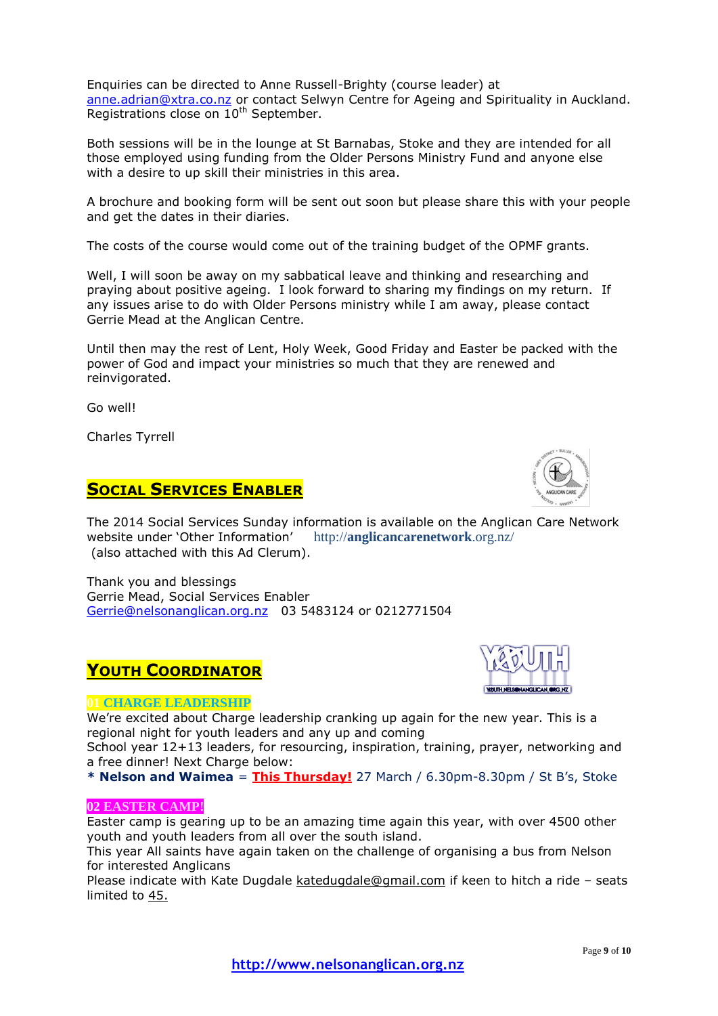Enquiries can be directed to Anne Russell-Brighty (course leader) at [anne.adrian@xtra.co.nz](mailto:anne.adrian@xtra.co.nz) or contact Selwyn Centre for Ageing and Spirituality in Auckland. Registrations close on  $10^{th}$  September.

Both sessions will be in the lounge at St Barnabas, Stoke and they are intended for all those employed using funding from the Older Persons Ministry Fund and anyone else with a desire to up skill their ministries in this area.

A brochure and booking form will be sent out soon but please share this with your people and get the dates in their diaries.

The costs of the course would come out of the training budget of the OPMF grants.

Well, I will soon be away on my sabbatical leave and thinking and researching and praying about positive ageing. I look forward to sharing my findings on my return. If any issues arise to do with Older Persons ministry while I am away, please contact Gerrie Mead at the Anglican Centre.

Until then may the rest of Lent, Holy Week, Good Friday and Easter be packed with the power of God and impact your ministries so much that they are renewed and reinvigorated.

Go well!

Charles Tyrrell

## **SOCIAL SERVICES ENABLER**

The 2014 Social Services Sunday information is available on the Anglican Care Network website under 'Other Information' http://**anglicancarenetwork**.org.nz/ (also attached with this Ad Clerum).

Thank you and blessings Gerrie Mead, Social Services Enabler [Gerrie@nelsonanglican.org.nz](mailto:Gerrie@nelsonanglican.org.nz) 03 5483124 or 0212771504

## **YOUTH COORDINATOR**

#### **01 CHARGE LEADERSHIP**

We're excited about Charge leadership cranking up again for the new year. This is a regional night for youth leaders and any up and coming

School year 12+13 leaders, for resourcing, inspiration, training, prayer, networking and a free dinner! Next Charge below:

**\* Nelson and Waimea** = **This Thursday!** 27 March / 6.30pm-8.30pm / St B's, Stoke

#### **02 EASTER CAMP!**

Easter camp is gearing up to be an amazing time again this year, with over 4500 other youth and youth leaders from all over the south island.

This year All saints have again taken on the challenge of organising a bus from Nelson for interested Anglicans

Please indicate with Kate Dugdale [katedugdale@gmail.com](mailto:katedugdale@gmail.com) if keen to hitch a ride – seats limited to 45.